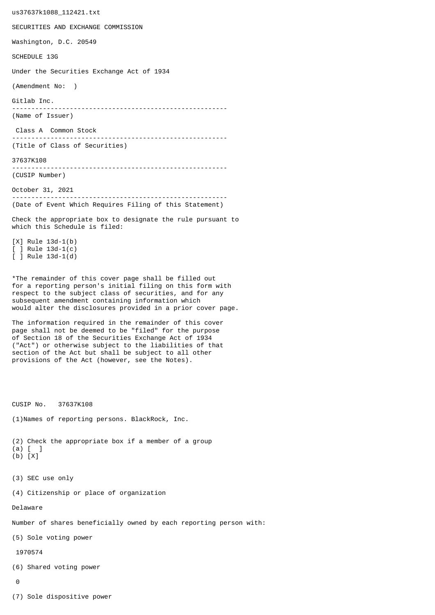us37637k1088\_112421.txt SECURITIES AND EXCHANGE COMMISSION Washington, D.C. 20549 SCHEDULE 13G Under the Securities Exchange Act of 1934 (Amendment No: ) Gitlab Inc. -------------------------------------------------------- (Name of Issuer) Class A Common Stock -------------------------------------------------------- (Title of Class of Securities) 37637K108 -------------------------------------------------------- (CUSIP Number) October 31, 2021 -------------------------------------------------------- (Date of Event Which Requires Filing of this Statement) Check the appropriate box to designate the rule pursuant to which this Schedule is filed: [X] Rule 13d-1(b) [ ] Rule 13d-1(c) [ ] Rule 13d-1(d) \*The remainder of this cover page shall be filled out for a reporting person's initial filing on this form with respect to the subject class of securities, and for any subsequent amendment containing information which would alter the disclosures provided in a prior cover page. The information required in the remainder of this cover page shall not be deemed to be "filed" for the purpose of Section 18 of the Securities Exchange Act of 1934 ("Act") or otherwise subject to the liabilities of that section of the Act but shall be subject to all other provisions of the Act (however, see the Notes). CUSIP No. 37637K108 (1)Names of reporting persons. BlackRock, Inc. (2) Check the appropriate box if a member of a group (a) [ ] (b) [X] (3) SEC use only (4) Citizenship or place of organization Delaware Number of shares beneficially owned by each reporting person with: (5) Sole voting power 1970574 (6) Shared voting power  $\Omega$ 

(7) Sole dispositive power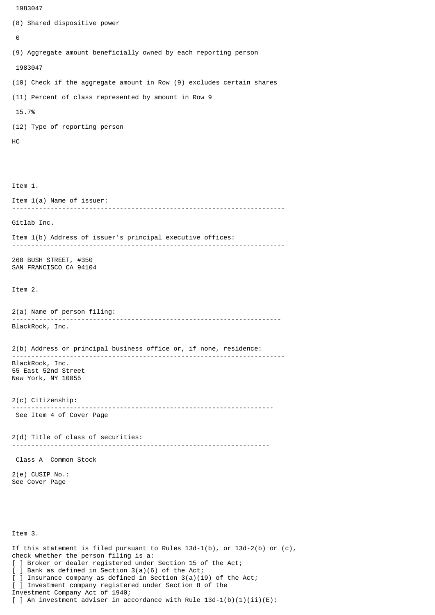```
 1983047
```

```
(8) Shared dispositive power
 \boldsymbol{\Theta}(9) Aggregate amount beneficially owned by each reporting person
  1983047
(10) Check if the aggregate amount in Row (9) excludes certain shares
(11) Percent of class represented by amount in Row 9
 15.7%
(12) Type of reporting person
HC
Item 1.
Item 1(a) Name of issuer:
           -----------------------------------------------------------------------
Gitlab Inc.
Item 1(b) Address of issuer's principal executive offices:
-----------------------------------------------------------------------
268 BUSH STREET, #350
SAN FRANCISCO CA 94104
Item 2.
2(a) Name of person filing:
               ----------------------------------------------------------------------
BlackRock, Inc.
2(b) Address or principal business office or, if none, residence:
 -----------------------------------------------------------------------
BlackRock, Inc.
55 East 52nd Street
New York, NY 10055
2(c) Citizenship:
                            --------------------------------------------------------------------
 See Item 4 of Cover Page
2(d) Title of class of securities:
                                      -------------------------------------------------------------------
 Class A Common Stock
2(e) CUSIP No.:
See Cover Page
Item 3.
If this statement is filed pursuant to Rules 13d-1(b), or 13d-2(b) or (c),
check whether the person filing is a:
[ ] Broker or dealer registered under Section 15 of the Act;
[ ] Bank as defined in Section 3(a)(6) of the Act;
  ] Insurance company as defined in Section 3(a)(19) of the Act;
[ ] Investment company registered under Section 8 of the
Investment Company Act of 1940;
```
[ ] An investment adviser in accordance with Rule  $13d-1(b)(1)(ii)(E)$ ;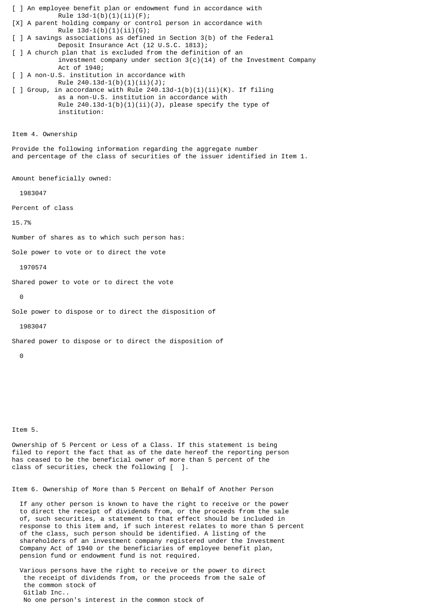[ ] An employee benefit plan or endowment fund in accordance with Rule  $13d-1(b)(1)(ii)(F);$ [X] A parent holding company or control person in accordance with Rule  $13d-1(b)(1)(ii)(G);$ [ ] A savings associations as defined in Section 3(b) of the Federal Deposit Insurance Act (12 U.S.C. 1813); [ ] A church plan that is excluded from the definition of an investment company under section  $3(c)(14)$  of the Investment Company Act of 1940; [ ] A non-U.S. institution in accordance with Rule 240.13d-1(b)(1)(ii)(J);  $\lceil$  ] Group, in accordance with Rule 240.13d-1(b)(1)(ii)(K). If filing as a non-U.S. institution in accordance with Rule  $240.13d-1(b)(1)(ii)(J)$ , please specify the type of institution: Item 4. Ownership Provide the following information regarding the aggregate number and percentage of the class of securities of the issuer identified in Item 1. Amount beneficially owned: 1983047 Percent of class 15.7% Number of shares as to which such person has: Sole power to vote or to direct the vote 1970574 Shared power to vote or to direct the vote  $\Theta$ Sole power to dispose or to direct the disposition of 1983047 Shared power to dispose or to direct the disposition of  $\Omega$ 

Item 5.

Ownership of 5 Percent or Less of a Class. If this statement is being filed to report the fact that as of the date hereof the reporting person has ceased to be the beneficial owner of more than 5 percent of the class of securities, check the following [ ].

Item 6. Ownership of More than 5 Percent on Behalf of Another Person

 If any other person is known to have the right to receive or the power to direct the receipt of dividends from, or the proceeds from the sale of, such securities, a statement to that effect should be included in response to this item and, if such interest relates to more than 5 percent of the class, such person should be identified. A listing of the shareholders of an investment company registered under the Investment Company Act of 1940 or the beneficiaries of employee benefit plan, pension fund or endowment fund is not required.

 Various persons have the right to receive or the power to direct the receipt of dividends from, or the proceeds from the sale of the common stock of Gitlab Inc.. No one person's interest in the common stock of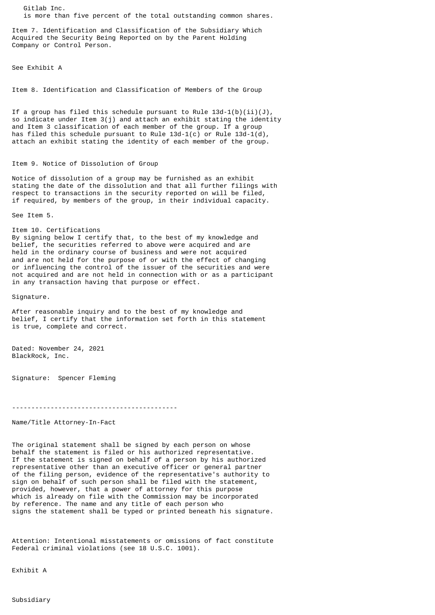Gitlab Inc. is more than five percent of the total outstanding common shares.

Item 7. Identification and Classification of the Subsidiary Which Acquired the Security Being Reported on by the Parent Holding Company or Control Person.

See Exhibit A

Item 8. Identification and Classification of Members of the Group

If a group has filed this schedule pursuant to Rule  $13d-1(b)(ii)(J)$ , so indicate under Item 3(j) and attach an exhibit stating the identity and Item 3 classification of each member of the group. If a group has filed this schedule pursuant to Rule  $13d-1(c)$  or Rule  $13d-1(d)$ , attach an exhibit stating the identity of each member of the group.

## Item 9. Notice of Dissolution of Group

Notice of dissolution of a group may be furnished as an exhibit stating the date of the dissolution and that all further filings with respect to transactions in the security reported on will be filed, if required, by members of the group, in their individual capacity.

See Item 5.

Item 10. Certifications By signing below I certify that, to the best of my knowledge and belief, the securities referred to above were acquired and are held in the ordinary course of business and were not acquired and are not held for the purpose of or with the effect of changing or influencing the control of the issuer of the securities and were not acquired and are not held in connection with or as a participant

in any transaction having that purpose or effect.

Signature.

After reasonable inquiry and to the best of my knowledge and belief, I certify that the information set forth in this statement is true, complete and correct.

Dated: November 24, 2021 BlackRock, Inc.

Signature: Spencer Fleming

-------------------------------------------

Name/Title Attorney-In-Fact

The original statement shall be signed by each person on whose behalf the statement is filed or his authorized representative. If the statement is signed on behalf of a person by his authorized representative other than an executive officer or general partner of the filing person, evidence of the representative's authority to sign on behalf of such person shall be filed with the statement, provided, however, that a power of attorney for this purpose which is already on file with the Commission may be incorporated by reference. The name and any title of each person who signs the statement shall be typed or printed beneath his signature.

Attention: Intentional misstatements or omissions of fact constitute Federal criminal violations (see 18 U.S.C. 1001).

Exhibit A